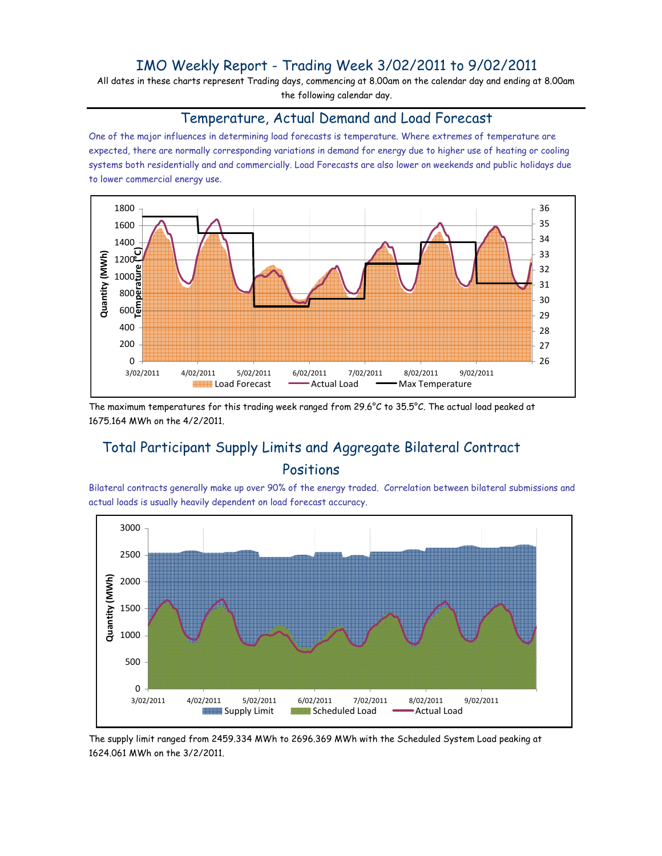## IMO Weekly Report - Trading Week 3/02/2011 to 9/02/2011

All dates in these charts represent Trading days, commencing at 8.00am on the calendar day and ending at 8.00am the following calendar day.

## Temperature, Actual Demand and Load Forecast

One of the major influences in determining load forecasts is temperature. Where extremes of temperature are expected, there are normally corresponding variations in demand for energy due to higher use of heating or cooling systems both residentially and and commercially. Load Forecasts are also lower on weekends and public holidays due to lower commercial energy use.



The maximum temperatures for this trading week ranged from 29.6°C to 35.5°C. The actual load peaked at 1675.164 MWh on the 4/2/2011.

# Total Participant Supply Limits and Aggregate Bilateral Contract Positions

Bilateral contracts generally make up over 90% of the energy traded. Correlation between bilateral submissions and actual loads is usually heavily dependent on load forecast accuracy.



The supply limit ranged from 2459.334 MWh to 2696.369 MWh with the Scheduled System Load peaking at 1624.061 MWh on the 3/2/2011.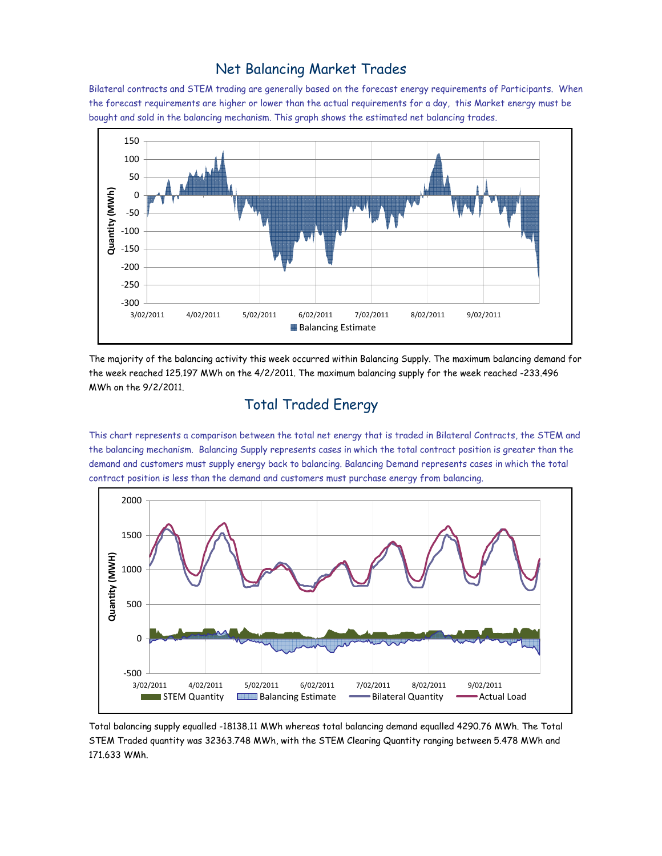#### Net Balancing Market Trades

Bilateral contracts and STEM trading are generally based on the forecast energy requirements of Participants. When the forecast requirements are higher or lower than the actual requirements for a day, this Market energy must be bought and sold in the balancing mechanism. This graph shows the estimated net balancing trades.



The majority of the balancing activity this week occurred within Balancing Supply. The maximum balancing demand for the week reached 125.197 MWh on the 4/2/2011. The maximum balancing supply for the week reached -233.496 MWh on the 9/2/2011.

# Total Traded Energy

This chart represents a comparison between the total net energy that is traded in Bilateral Contracts, the STEM and the balancing mechanism. Balancing Supply represents cases in which the total contract position is greater than the demand and customers must supply energy back to balancing. Balancing Demand represents cases in which the total contract position is less than the demand and customers must purchase energy from balancing.



Total balancing supply equalled -18138.11 MWh whereas total balancing demand equalled 4290.76 MWh. The Total STEM Traded quantity was 32363.748 MWh, with the STEM Clearing Quantity ranging between 5.478 MWh and 171.633 WMh.